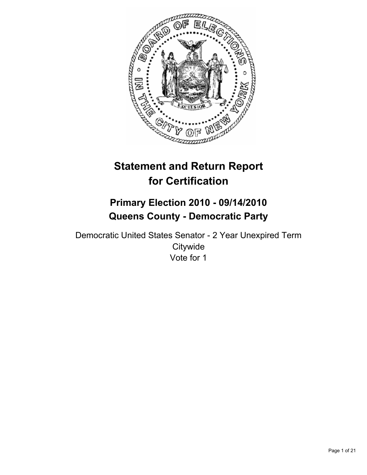

# **Statement and Return Report for Certification**

# **Primary Election 2010 - 09/14/2010 Queens County - Democratic Party**

Democratic United States Senator - 2 Year Unexpired Term **Citywide** Vote for 1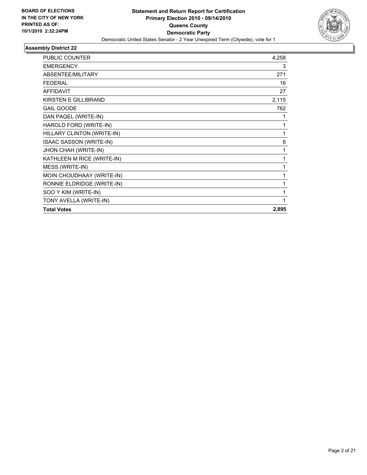

| PUBLIC COUNTER              | 4,258 |
|-----------------------------|-------|
| <b>EMERGENCY</b>            | 3     |
| ABSENTEE/MILITARY           | 271   |
| <b>FEDERAL</b>              | 16    |
| <b>AFFIDAVIT</b>            | 27    |
| <b>KIRSTEN E GILLIBRAND</b> | 2,115 |
| <b>GAIL GOODE</b>           | 762   |
| DAN PAQEL (WRITE-IN)        | 1     |
| HAROLD FORD (WRITE-IN)      | 1     |
| HILLARY CLINTON (WRITE-IN)  | 1     |
| ISAAC SASSON (WRITE-IN)     | 8     |
| JHON CHAH (WRITE-IN)        | 1     |
| KATHLEEN M RICE (WRITE-IN)  | 1     |
| MESS (WRITE-IN)             | 1     |
| MOIN CHOUDHAAY (WRITE-IN)   | 1     |
| RONNIE ELDRIDGE (WRITE-IN)  | 1     |
| SOO Y KIM (WRITE-IN)        | 1     |
| TONY AVELLA (WRITE-IN)      | 1     |
| <b>Total Votes</b>          | 2,895 |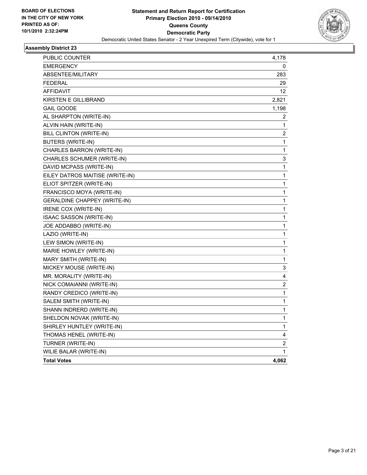

| PUBLIC COUNTER                      | 4,178                   |
|-------------------------------------|-------------------------|
| <b>EMERGENCY</b>                    | 0                       |
| ABSENTEE/MILITARY                   | 283                     |
| <b>FEDERAL</b>                      | 29                      |
| <b>AFFIDAVIT</b>                    | 12                      |
| <b>KIRSTEN E GILLIBRAND</b>         | 2,821                   |
| <b>GAIL GOODE</b>                   | 1,198                   |
| AL SHARPTON (WRITE-IN)              | 2                       |
| ALVIN HAIN (WRITE-IN)               | 1                       |
| BILL CLINTON (WRITE-IN)             | 2                       |
| <b>BUTERS (WRITE-IN)</b>            | 1                       |
| CHARLES BARRON (WRITE-IN)           | 1                       |
| CHARLES SCHUMER (WRITE-IN)          | 3                       |
| DAVID MCPASS (WRITE-IN)             | 1                       |
| EILEY DATROS MAITISE (WRITE-IN)     | $\mathbf 1$             |
| ELIOT SPITZER (WRITE-IN)            | 1                       |
| FRANCISCO MOYA (WRITE-IN)           | 1                       |
| <b>GERALDINE CHAPPEY (WRITE-IN)</b> | $\mathbf 1$             |
| IRENE COX (WRITE-IN)                | $\mathbf 1$             |
| ISAAC SASSON (WRITE-IN)             | $\mathbf 1$             |
| JOE ADDABBO (WRITE-IN)              | 1                       |
| LAZIO (WRITE-IN)                    | $\mathbf{1}$            |
| LEW SIMON (WRITE-IN)                | $\mathbf 1$             |
| MARIE HOWLEY (WRITE-IN)             | 1                       |
| MARY SMITH (WRITE-IN)               | 1                       |
| MICKEY MOUSE (WRITE-IN)             | 3                       |
| MR. MORALITY (WRITE-IN)             | 4                       |
| NICK COMAIANNI (WRITE-IN)           | $\overline{\mathbf{c}}$ |
| RANDY CREDICO (WRITE-IN)            | 1                       |
| SALEM SMITH (WRITE-IN)              | 1                       |
| SHANN INDRERD (WRITE-IN)            | 1                       |
| SHELDON NOVAK (WRITE-IN)            | 1                       |
| SHIRLEY HUNTLEY (WRITE-IN)          | 1                       |
| THOMAS HENEL (WRITE-IN)             | 4                       |
| TURNER (WRITE-IN)                   | 2                       |
| WILIE BALAR (WRITE-IN)              | $\mathbf{1}$            |
| <b>Total Votes</b>                  | 4,062                   |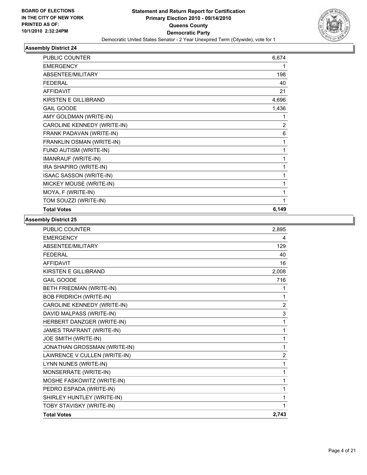

| <b>PUBLIC COUNTER</b>       | 6,674          |
|-----------------------------|----------------|
| <b>EMERGENCY</b>            | 1              |
| ABSENTEE/MILITARY           | 198            |
| <b>FEDERAL</b>              | 40             |
| <b>AFFIDAVIT</b>            | 21             |
| KIRSTEN E GILLIBRAND        | 4,696          |
| <b>GAIL GOODE</b>           | 1,436          |
| AMY GOLDMAN (WRITE-IN)      | 1              |
| CAROLINE KENNEDY (WRITE-IN) | $\overline{2}$ |
| FRANK PADAVAN (WRITE-IN)    | 6              |
| FRANKLIN OSMAN (WRITE-IN)   | 1              |
| FUND AUTISM (WRITE-IN)      | 1              |
| IMANRAUF (WRITE-IN)         | 1              |
| IRA SHAPIRO (WRITE-IN)      | 1              |
| ISAAC SASSON (WRITE-IN)     | 1              |
| MICKEY MOUSE (WRITE-IN)     | 1              |
| MOYA, F (WRITE-IN)          | 1              |
| TOM SOUZZI (WRITE-IN)       | 1              |
| <b>Total Votes</b>          | 6,149          |

| <b>PUBLIC COUNTER</b>          | 2,895          |
|--------------------------------|----------------|
| <b>EMERGENCY</b>               | 4              |
| ABSENTEE/MILITARY              | 129            |
| <b>FEDERAL</b>                 | 40             |
| <b>AFFIDAVIT</b>               | 16             |
| <b>KIRSTEN E GILLIBRAND</b>    | 2,008          |
| <b>GAIL GOODE</b>              | 716            |
| BETH FRIEDMAN (WRITE-IN)       | 1              |
| <b>BOB FRIDRICH (WRITE-IN)</b> | 1              |
| CAROLINE KENNEDY (WRITE-IN)    | 2              |
| DAVID MALPASS (WRITE-IN)       | 3              |
| HERBERT DANZGER (WRITE-IN)     | 1              |
| JAMES TRAFRANT (WRITE-IN)      | 1              |
| JOE SMITH (WRITE-IN)           | 1              |
| JONATHAN GROSSMAN (WRITE-IN)   | 1              |
| LAWRENCE V CULLEN (WRITE-IN)   | $\overline{2}$ |
| LYNN NUNES (WRITE-IN)          | 1              |
| MONSERRATE (WRITE-IN)          | 1              |
| MOSHE FASKOWITZ (WRITE-IN)     | 1              |
| PEDRO ESPADA (WRITE-IN)        | 1              |
| SHIRLEY HUNTLEY (WRITE-IN)     | 1              |
| TOBY STAVISKY (WRITE-IN)       | 1              |
| <b>Total Votes</b>             | 2,743          |
|                                |                |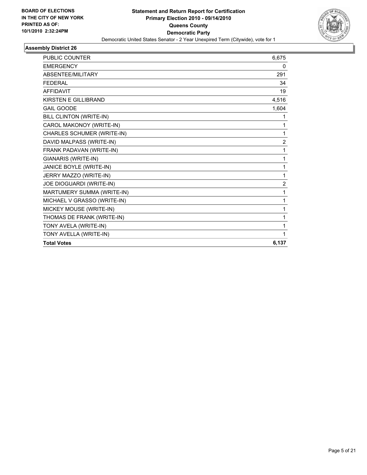

| <b>PUBLIC COUNTER</b>       | 6,675          |
|-----------------------------|----------------|
| <b>EMERGENCY</b>            | 0              |
| ABSENTEE/MILITARY           | 291            |
| <b>FEDERAL</b>              | 34             |
| <b>AFFIDAVIT</b>            | 19             |
| <b>KIRSTEN E GILLIBRAND</b> | 4,516          |
| <b>GAIL GOODE</b>           | 1,604          |
| BILL CLINTON (WRITE-IN)     | 1              |
| CAROL MAKONOY (WRITE-IN)    | 1              |
| CHARLES SCHUMER (WRITE-IN)  | 1              |
| DAVID MALPASS (WRITE-IN)    | $\overline{2}$ |
| FRANK PADAVAN (WRITE-IN)    | 1              |
| GIANARIS (WRITE-IN)         | 1              |
| JANICE BOYLE (WRITE-IN)     | 1              |
| JERRY MAZZO (WRITE-IN)      | 1              |
| JOE DIOGUARDI (WRITE-IN)    | $\overline{2}$ |
| MARTUMERY SUMMA (WRITE-IN)  | 1              |
| MICHAEL V GRASSO (WRITE-IN) | 1              |
| MICKEY MOUSE (WRITE-IN)     | 1              |
| THOMAS DE FRANK (WRITE-IN)  | 1              |
| TONY AVELA (WRITE-IN)       | 1              |
| TONY AVELLA (WRITE-IN)      | 1              |
| <b>Total Votes</b>          | 6,137          |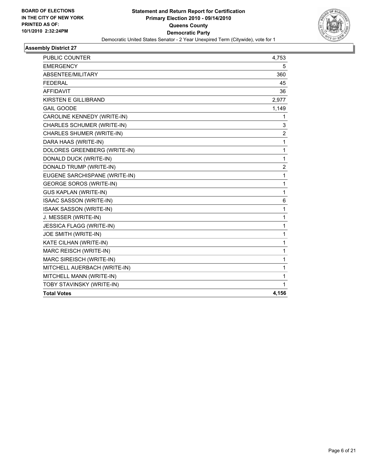

| <b>PUBLIC COUNTER</b>             | 4,753          |
|-----------------------------------|----------------|
| <b>EMERGENCY</b>                  | 5              |
| ABSENTEE/MILITARY                 | 360            |
| <b>FEDERAL</b>                    | 45             |
| <b>AFFIDAVIT</b>                  | 36             |
| KIRSTEN E GILLIBRAND              | 2,977          |
| <b>GAIL GOODE</b>                 | 1,149          |
| CAROLINE KENNEDY (WRITE-IN)       | 1              |
| <b>CHARLES SCHUMER (WRITE-IN)</b> | 3              |
| CHARLES SHUMER (WRITE-IN)         | $\overline{c}$ |
| DARA HAAS (WRITE-IN)              | 1              |
| DOLORES GREENBERG (WRITE-IN)      | $\mathbf 1$    |
| DONALD DUCK (WRITE-IN)            | $\mathbf{1}$   |
| DONALD TRUMP (WRITE-IN)           | $\overline{2}$ |
| EUGENE SARCHISPANE (WRITE-IN)     | 1              |
| <b>GEORGE SOROS (WRITE-IN)</b>    | $\mathbf 1$    |
| <b>GUS KAPLAN (WRITE-IN)</b>      | $\mathbf{1}$   |
| ISAAC SASSON (WRITE-IN)           | 6              |
| ISAAK SASSON (WRITE-IN)           | $\mathbf{1}$   |
| J. MESSER (WRITE-IN)              | $\mathbf{1}$   |
| <b>JESSICA FLAGG (WRITE-IN)</b>   | $\mathbf{1}$   |
| JOE SMITH (WRITE-IN)              | $\mathbf 1$    |
| KATE CILHAN (WRITE-IN)            | $\mathbf 1$    |
| MARC REISCH (WRITE-IN)            | 1              |
| MARC SIREISCH (WRITE-IN)          | 1              |
| MITCHELL AUERBACH (WRITE-IN)      | 1              |
| MITCHELL MANN (WRITE-IN)          | 1              |
| TOBY STAVINSKY (WRITE-IN)         | 1              |
| <b>Total Votes</b>                | 4,156          |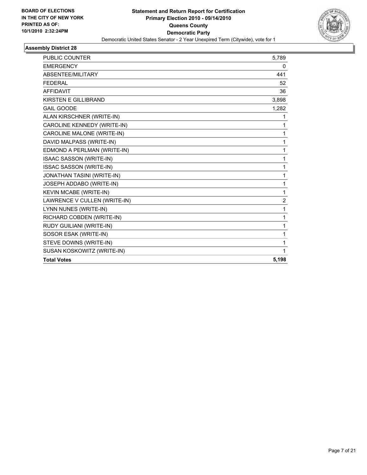

| <b>Total Votes</b>                | 5,198          |
|-----------------------------------|----------------|
| SUSAN KOSKOWITZ (WRITE-IN)        | 1              |
| STEVE DOWNS (WRITE-IN)            | 1              |
| SOSOR ESAK (WRITE-IN)             | 1              |
| RUDY GUILIANI (WRITE-IN)          | 1              |
| RICHARD COBDEN (WRITE-IN)         | 1              |
| LYNN NUNES (WRITE-IN)             | 1              |
| LAWRENCE V CULLEN (WRITE-IN)      | $\overline{2}$ |
| KEVIN MCABE (WRITE-IN)            | 1              |
| JOSEPH ADDABO (WRITE-IN)          | 1              |
| <b>JONATHAN TASINI (WRITE-IN)</b> | 1              |
| ISSAC SASSON (WRITE-IN)           | 1              |
| <b>ISAAC SASSON (WRITE-IN)</b>    | 1              |
| EDMOND A PERLMAN (WRITE-IN)       | 1              |
| DAVID MALPASS (WRITE-IN)          | 1              |
| CAROLINE MALONE (WRITE-IN)        | 1              |
| CAROLINE KENNEDY (WRITE-IN)       | 1              |
| ALAN KIRSCHNER (WRITE-IN)         | 1              |
| <b>GAIL GOODE</b>                 | 1,282          |
| <b>KIRSTEN E GILLIBRAND</b>       | 3,898          |
| <b>AFFIDAVIT</b>                  | 36             |
| <b>FEDERAL</b>                    | 52             |
| ABSENTEE/MILITARY                 | 441            |
| <b>EMERGENCY</b>                  | 0              |
| PUBLIC COUNTER                    | 5,789          |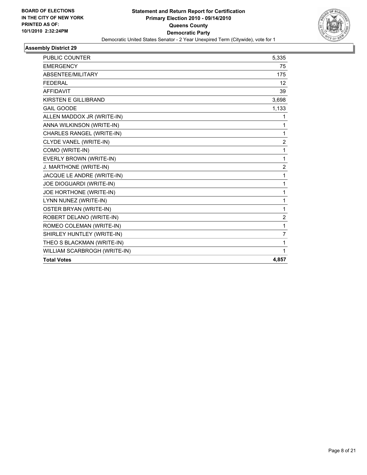

| <b>Total Votes</b>           | 4,857          |
|------------------------------|----------------|
| WILLIAM SCARBROGH (WRITE-IN) | 1              |
| THEO S BLACKMAN (WRITE-IN)   | 1              |
| SHIRLEY HUNTLEY (WRITE-IN)   | 7              |
| ROMEO COLEMAN (WRITE-IN)     | 1              |
| ROBERT DELANO (WRITE-IN)     | 2              |
| OSTER BRYAN (WRITE-IN)       | 1              |
| LYNN NUNEZ (WRITE-IN)        | 1              |
| JOE HORTHONE (WRITE-IN)      | 1              |
| JOE DIOGUARDI (WRITE-IN)     | 1              |
| JACQUE LE ANDRE (WRITE-IN)   | 1              |
| J. MARTHONE (WRITE-IN)       | $\overline{2}$ |
| EVERLY BROWN (WRITE-IN)      | 1              |
| COMO (WRITE-IN)              | 1              |
| CLYDE VANEL (WRITE-IN)       | 2              |
| CHARLES RANGEL (WRITE-IN)    | 1              |
| ANNA WILKINSON (WRITE-IN)    | 1              |
| ALLEN MADDOX JR (WRITE-IN)   | 1              |
| <b>GAIL GOODE</b>            | 1,133          |
| KIRSTEN E GILLIBRAND         | 3,698          |
| <b>AFFIDAVIT</b>             | 39             |
| <b>FEDERAL</b>               | 12             |
| ABSENTEE/MILITARY            | 175            |
| <b>EMERGENCY</b>             | 75             |
| PUBLIC COUNTER               | 5,335          |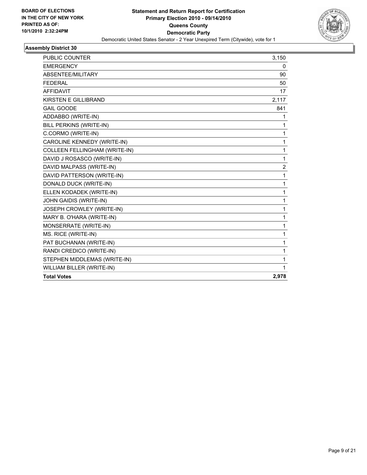

| <b>PUBLIC COUNTER</b>                | 3,150 |
|--------------------------------------|-------|
| <b>EMERGENCY</b>                     | 0     |
| ABSENTEE/MILITARY                    | 90    |
| <b>FEDERAL</b>                       | 50    |
| <b>AFFIDAVIT</b>                     | 17    |
| <b>KIRSTEN E GILLIBRAND</b>          | 2,117 |
| <b>GAIL GOODE</b>                    | 841   |
| ADDABBO (WRITE-IN)                   | 1     |
| BILL PERKINS (WRITE-IN)              | 1     |
| C.CORMO (WRITE-IN)                   | 1     |
| CAROLINE KENNEDY (WRITE-IN)          | 1     |
| <b>COLLEEN FELLINGHAM (WRITE-IN)</b> | 1     |
| DAVID J ROSASCO (WRITE-IN)           | 1     |
| DAVID MALPASS (WRITE-IN)             | 2     |
| DAVID PATTERSON (WRITE-IN)           | 1     |
| DONALD DUCK (WRITE-IN)               | 1     |
| ELLEN KODADEK (WRITE-IN)             | 1     |
| JOHN GAIDIS (WRITE-IN)               | 1     |
| JOSEPH CROWLEY (WRITE-IN)            | 1     |
| MARY B. O'HARA (WRITE-IN)            | 1     |
| MONSERRATE (WRITE-IN)                | 1     |
| MS. RICE (WRITE-IN)                  | 1     |
| PAT BUCHANAN (WRITE-IN)              | 1     |
| RANDI CREDICO (WRITE-IN)             | 1     |
| STEPHEN MIDDLEMAS (WRITE-IN)         | 1     |
| WILLIAM BILLER (WRITE-IN)            | 1     |
| <b>Total Votes</b>                   | 2,978 |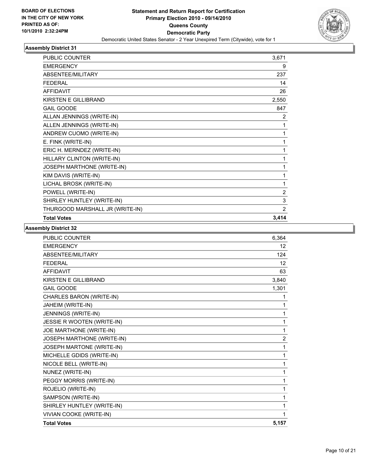

| <b>PUBLIC COUNTER</b>           | 3,671          |
|---------------------------------|----------------|
| <b>EMERGENCY</b>                | 9              |
| <b>ABSENTEE/MILITARY</b>        | 237            |
| <b>FFDFRAL</b>                  | 14             |
| <b>AFFIDAVIT</b>                | 26             |
| <b>KIRSTEN E GILLIBRAND</b>     | 2,550          |
| <b>GAIL GOODE</b>               | 847            |
| ALLAN JENNINGS (WRITE-IN)       | 2              |
| ALLEN JENNINGS (WRITE-IN)       | 1              |
| ANDREW CUOMO (WRITE-IN)         | 1              |
| E. FINK (WRITE-IN)              | 1              |
| ERIC H. MERNDEZ (WRITE-IN)      | 1              |
| HILLARY CLINTON (WRITE-IN)      | 1              |
| JOSEPH MARTHONE (WRITE-IN)      | 1              |
| KIM DAVIS (WRITE-IN)            | 1              |
| LICHAL BROSK (WRITE-IN)         | 1              |
| POWELL (WRITE-IN)               | $\overline{2}$ |
| SHIRLEY HUNTLEY (WRITE-IN)      | 3              |
| THURGOOD MARSHALL JR (WRITE-IN) | 2              |
| <b>Total Votes</b>              | 3,414          |

| <b>PUBLIC COUNTER</b>          | 6,364          |
|--------------------------------|----------------|
| <b>EMERGENCY</b>               | 12             |
| ABSENTEE/MILITARY              | 124            |
| <b>FEDERAL</b>                 | 12             |
| <b>AFFIDAVIT</b>               | 63             |
| <b>KIRSTEN E GILLIBRAND</b>    | 3,840          |
| <b>GAIL GOODE</b>              | 1,301          |
| CHARLES BARON (WRITE-IN)       | 1              |
| JAHEIM (WRITE-IN)              | 1              |
| JENNINGS (WRITE-IN)            | 1              |
| JESSIE R WOOTEN (WRITE-IN)     | 1              |
| JOE MARTHONE (WRITE-IN)        | 1              |
| JOSEPH MARTHONE (WRITE-IN)     | $\overline{c}$ |
| JOSEPH MARTONE (WRITE-IN)      | 1              |
| MICHELLE GDIDS (WRITE-IN)      | 1              |
| NICOLE BELL (WRITE-IN)         | 1              |
| NUNEZ (WRITE-IN)               | 1              |
| PEGGY MORRIS (WRITE-IN)        | 1              |
| ROJELIO (WRITE-IN)             | 1              |
| SAMPSON (WRITE-IN)             | 1              |
| SHIRLEY HUNTLEY (WRITE-IN)     | 1              |
| <b>VIVIAN COOKE (WRITE-IN)</b> | 1              |
| <b>Total Votes</b>             | 5,157          |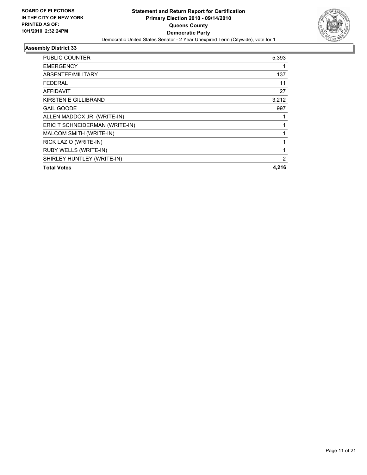

| PUBLIC COUNTER                 | 5,393 |
|--------------------------------|-------|
| <b>EMERGENCY</b>               |       |
| ABSENTEE/MILITARY              | 137   |
| FEDERAL                        | 11    |
| <b>AFFIDAVIT</b>               | 27    |
| KIRSTEN E GILLIBRAND           | 3,212 |
| <b>GAIL GOODE</b>              | 997   |
| ALLEN MADDOX JR. (WRITE-IN)    |       |
| ERIC T SCHNEIDERMAN (WRITE-IN) |       |
| MALCOM SMITH (WRITE-IN)        | 1     |
| RICK LAZIO (WRITE-IN)          | 1     |
| <b>RUBY WELLS (WRITE-IN)</b>   | 1     |
| SHIRLEY HUNTLEY (WRITE-IN)     | 2     |
| <b>Total Votes</b>             | 4,216 |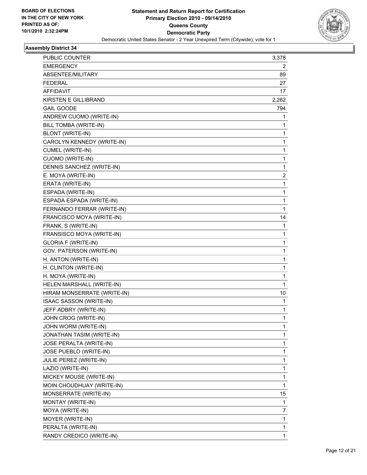

| PUBLIC COUNTER              | 3,378 |
|-----------------------------|-------|
| <b>EMERGENCY</b>            | 2     |
| ABSENTEE/MILITARY           | 89    |
| <b>FEDERAL</b>              | 27    |
| <b>AFFIDAVIT</b>            | 17    |
| <b>KIRSTEN E GILLIBRAND</b> | 2,262 |
| <b>GAIL GOODE</b>           | 794   |
| ANDREW CUOMO (WRITE-IN)     | 1     |
| BILL TOMBA (WRITE-IN)       | 1     |
| <b>BLONT (WRITE-IN)</b>     | 1     |
| CAROLYN KENNEDY (WRITE-IN)  | 1     |
| CUMEL (WRITE-IN)            | 1     |
| <b>CUOMO (WRITE-IN)</b>     | 1     |
| DENNIS SANCHEZ (WRITE-IN)   | 1     |
| E. MOYA (WRITE-IN)          | 2     |
| ERATA (WRITE-IN)            | 1     |
| ESPADA (WRITE-IN)           | 1     |
| ESPADA ESPADA (WRITE-IN)    | 1     |
| FERNANDO FERRAR (WRITE-IN)  | 1     |
| FRANCISCO MOYA (WRITE-IN)   | 14    |
| FRANK, S (WRITE-IN)         | 1     |
| FRANSISCO MOYA (WRITE-IN)   | 1     |
| <b>GLORIA F (WRITE-IN)</b>  | 1     |
| GOV. PATERSON (WRITE-IN)    | 1     |
| H. ANTON (WRITE-IN)         | 1     |
| H. CLINTON (WRITE-IN)       | 1     |
| H. MOYA (WRITE-IN)          | 1     |
| HELEN MARSHALL (WRITE-IN)   | 1     |
| HIRAM MONSERRATE (WRITE-IN) | 10    |
| ISAAC SASSON (WRITE-IN)     | 1     |
| JEFF ADBRY (WRITE-IN)       | 1     |
| JOHN CROG (WRITE-IN)        | 1     |
| JOHN WORM (WRITE-IN)        | 1     |
| JONATHAN TASIM (WRITE-IN)   | 1     |
| JOSE PERALTA (WRITE-IN)     | 1     |
| JOSE PUEBLO (WRITE-IN)      | 1     |
| JULIE PEREZ (WRITE-IN)      | 1     |
| LAZIO (WRITE-IN)            | 1     |
| MICKEY MOUSE (WRITE-IN)     | 1     |
| MOIN CHOUDHUAY (WRITE-IN)   | 1     |
| MONSERRATE (WRITE-IN)       | 15    |
| MONTAY (WRITE-IN)           | 1     |
| MOYA (WRITE-IN)             | 7     |
| MOYER (WRITE-IN)            | 1     |
| PERALTA (WRITE-IN)          | 1     |
| RANDY CREDICO (WRITE-IN)    | 1     |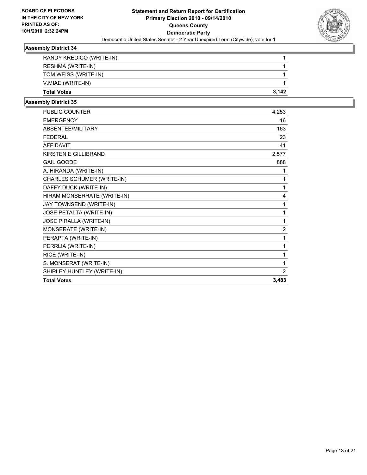

| <b>Total Votes</b>       | 3.142 |
|--------------------------|-------|
| V.MIAE (WRITE-IN)        |       |
| TOM WEISS (WRITE-IN)     |       |
| RESHMA (WRITE-IN)        |       |
| RANDY KREDICO (WRITE-IN) |       |

| <b>PUBLIC COUNTER</b>       | 4,253          |
|-----------------------------|----------------|
| <b>EMERGENCY</b>            | 16             |
| ABSENTEE/MILITARY           | 163            |
| <b>FEDERAL</b>              | 23             |
| <b>AFFIDAVIT</b>            | 41             |
| KIRSTEN E GILLIBRAND        | 2,577          |
| <b>GAIL GOODE</b>           | 888            |
| A. HIRANDA (WRITE-IN)       | 1              |
| CHARLES SCHUMER (WRITE-IN)  | 1              |
| DAFFY DUCK (WRITE-IN)       | 1              |
| HIRAM MONSERRATE (WRITE-IN) | 4              |
| JAY TOWNSEND (WRITE-IN)     | 1              |
| JOSE PETALTA (WRITE-IN)     | 1              |
| JOSE PIRALLA (WRITE-IN)     | 1              |
| MONSERATE (WRITE-IN)        | $\overline{2}$ |
| PERAPTA (WRITE-IN)          | 1              |
| PERRLIA (WRITE-IN)          | 1              |
| RICE (WRITE-IN)             | 1              |
| S. MONSERAT (WRITE-IN)      | 1              |
| SHIRLEY HUNTLEY (WRITE-IN)  | $\overline{2}$ |
| <b>Total Votes</b>          | 3,483          |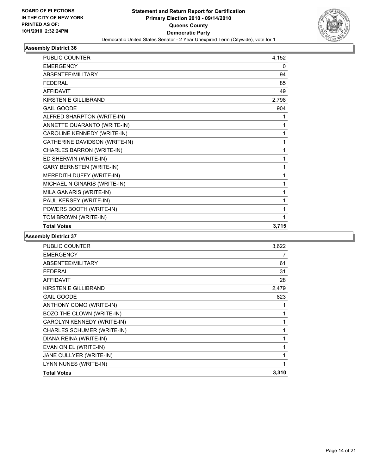

| <b>PUBLIC COUNTER</b>           | 4,152 |
|---------------------------------|-------|
| <b>EMERGENCY</b>                | 0     |
| <b>ABSENTEE/MILITARY</b>        | 94    |
| <b>FFDFRAI</b>                  | 85    |
| <b>AFFIDAVIT</b>                | 49    |
| <b>KIRSTEN E GILLIBRAND</b>     | 2,798 |
| <b>GAIL GOODE</b>               | 904   |
| ALFRED SHARPTON (WRITE-IN)      | 1     |
| ANNETTE QUARANTO (WRITE-IN)     | 1     |
| CAROLINE KENNEDY (WRITE-IN)     | 1     |
| CATHERINE DAVIDSON (WRITE-IN)   | 1     |
| CHARLES BARRON (WRITE-IN)       | 1     |
| ED SHERWIN (WRITE-IN)           | 1     |
| <b>GARY BERNSTEN (WRITE-IN)</b> | 1     |
| MEREDITH DUFFY (WRITE-IN)       | 1     |
| MICHAEL N GINARIS (WRITE-IN)    | 1     |
| MILA GANARIS (WRITE-IN)         | 1     |
| PAUL KERSEY (WRITE-IN)          | 1     |
| POWERS BOOTH (WRITE-IN)         | 1     |
| TOM BROWN (WRITE-IN)            |       |
| <b>Total Votes</b>              | 3,715 |

| <b>PUBLIC COUNTER</b>      | 3,622 |
|----------------------------|-------|
| <b>EMERGENCY</b>           | 7     |
| ABSENTEE/MILITARY          | 61    |
| <b>FEDERAL</b>             | 31    |
| <b>AFFIDAVIT</b>           | 28    |
| KIRSTEN E GILLIBRAND       | 2,479 |
| <b>GAIL GOODE</b>          | 823   |
| ANTHONY COMO (WRITE-IN)    | 1     |
| BOZO THE CLOWN (WRITE-IN)  | 1     |
| CAROLYN KENNEDY (WRITE-IN) | 1     |
| CHARLES SCHUMER (WRITE-IN) | 1     |
| DIANA REINA (WRITE-IN)     | 1     |
| EVAN ONIEL (WRITE-IN)      | 1     |
| JANE CULLYER (WRITE-IN)    | 1     |
| LYNN NUNES (WRITE-IN)      | 1     |
| <b>Total Votes</b>         | 3,310 |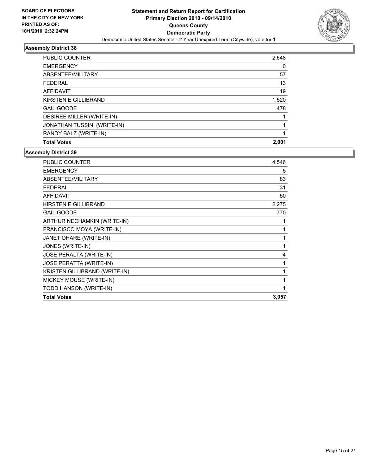

| <b>PUBLIC COUNTER</b>       | 2,648 |
|-----------------------------|-------|
| <b>EMERGENCY</b>            | 0     |
| ABSENTEE/MILITARY           | 57    |
| <b>FFDFRAL</b>              | 13    |
| <b>AFFIDAVIT</b>            | 19    |
| KIRSTEN E GILLIBRAND        | 1,520 |
| <b>GAIL GOODE</b>           | 478   |
| DESIREE MILLER (WRITE-IN)   |       |
| JONATHAN TUSSINI (WRITE-IN) |       |
| RANDY BALZ (WRITE-IN)       |       |
| <b>Total Votes</b>          | 2.001 |

| <b>PUBLIC COUNTER</b>          | 4,546 |
|--------------------------------|-------|
| <b>EMERGENCY</b>               | 5     |
| ABSENTEE/MILITARY              | 83    |
| <b>FEDERAL</b>                 | 31    |
| <b>AFFIDAVIT</b>               | 50    |
| KIRSTEN E GILLIBRAND           | 2,275 |
| <b>GAIL GOODE</b>              | 770   |
| ARTHUR NECHAMKIN (WRITE-IN)    | 1     |
| FRANCISCO MOYA (WRITE-IN)      | 1     |
| JANET OHARE (WRITE-IN)         | 1     |
| JONES (WRITE-IN)               | 1     |
| <b>JOSE PERALTA (WRITE-IN)</b> | 4     |
| <b>JOSE PERATTA (WRITE-IN)</b> | 1     |
| KRISTEN GILLIBRAND (WRITE-IN)  | 1     |
| MICKEY MOUSE (WRITE-IN)        | 1     |
| TODD HANSON (WRITE-IN)         | 1     |
| <b>Total Votes</b>             | 3,057 |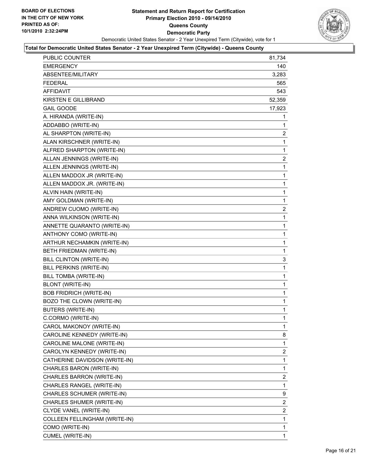

| PUBLIC COUNTER                 | 81,734         |
|--------------------------------|----------------|
| <b>EMERGENCY</b>               | 140            |
| ABSENTEE/MILITARY              | 3,283          |
| <b>FEDERAL</b>                 | 565            |
| AFFIDAVIT                      | 543            |
| <b>KIRSTEN E GILLIBRAND</b>    | 52,359         |
| <b>GAIL GOODE</b>              | 17,923         |
| A. HIRANDA (WRITE-IN)          | 1              |
| ADDABBO (WRITE-IN)             | 1              |
| AL SHARPTON (WRITE-IN)         | $\mathbf{2}$   |
| ALAN KIRSCHNER (WRITE-IN)      | 1              |
| ALFRED SHARPTON (WRITE-IN)     | 1              |
| ALLAN JENNINGS (WRITE-IN)      | 2              |
| ALLEN JENNINGS (WRITE-IN)      | 1              |
| ALLEN MADDOX JR (WRITE-IN)     | 1              |
| ALLEN MADDOX JR. (WRITE-IN)    | 1              |
| ALVIN HAIN (WRITE-IN)          | 1              |
| AMY GOLDMAN (WRITE-IN)         | 1              |
| ANDREW CUOMO (WRITE-IN)        | $\overline{c}$ |
| ANNA WILKINSON (WRITE-IN)      | 1              |
| ANNETTE QUARANTO (WRITE-IN)    | 1              |
| ANTHONY COMO (WRITE-IN)        | 1              |
| ARTHUR NECHAMKIN (WRITE-IN)    | 1              |
| BETH FRIEDMAN (WRITE-IN)       | 1              |
| BILL CLINTON (WRITE-IN)        | 3              |
| BILL PERKINS (WRITE-IN)        | 1              |
| BILL TOMBA (WRITE-IN)          | 1              |
| <b>BLONT (WRITE-IN)</b>        | 1              |
| <b>BOB FRIDRICH (WRITE-IN)</b> | 1              |
| BOZO THE CLOWN (WRITE-IN)      | 1              |
| <b>BUTERS (WRITE-IN)</b>       | 1              |
| C.CORMO (WRITE-IN)             | 1              |
| CAROL MAKONOY (WRITE-IN)       | 1              |
| CAROLINE KENNEDY (WRITE-IN)    | 8              |
| CAROLINE MALONE (WRITE-IN)     | 1              |
| CAROLYN KENNEDY (WRITE-IN)     | 2              |
| CATHERINE DAVIDSON (WRITE-IN)  | 1              |
| CHARLES BARON (WRITE-IN)       | 1              |
| CHARLES BARRON (WRITE-IN)      | $\overline{2}$ |
| CHARLES RANGEL (WRITE-IN)      | 1              |
| CHARLES SCHUMER (WRITE-IN)     | 9              |
| CHARLES SHUMER (WRITE-IN)      | $\overline{2}$ |
| CLYDE VANEL (WRITE-IN)         | $\mathbf{2}$   |
| COLLEEN FELLINGHAM (WRITE-IN)  | 1              |
| COMO (WRITE-IN)                | 1              |
| CUMEL (WRITE-IN)               | 1              |
|                                |                |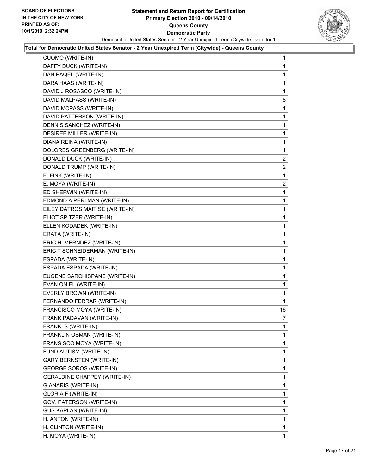

| CUOMO (WRITE-IN)                    | 1  |
|-------------------------------------|----|
| DAFFY DUCK (WRITE-IN)               | 1  |
| DAN PAQEL (WRITE-IN)                | 1  |
| DARA HAAS (WRITE-IN)                | 1  |
| DAVID J ROSASCO (WRITE-IN)          | 1  |
| DAVID MALPASS (WRITE-IN)            | 8  |
| DAVID MCPASS (WRITE-IN)             | 1  |
| DAVID PATTERSON (WRITE-IN)          | 1  |
| DENNIS SANCHEZ (WRITE-IN)           | 1  |
| DESIREE MILLER (WRITE-IN)           | 1  |
| DIANA REINA (WRITE-IN)              | 1  |
| DOLORES GREENBERG (WRITE-IN)        | 1  |
| DONALD DUCK (WRITE-IN)              | 2  |
| DONALD TRUMP (WRITE-IN)             | 2  |
| E. FINK (WRITE-IN)                  | 1  |
| E. MOYA (WRITE-IN)                  | 2  |
| ED SHERWIN (WRITE-IN)               | 1  |
| EDMOND A PERLMAN (WRITE-IN)         | 1  |
| EILEY DATROS MAITISE (WRITE-IN)     | 1  |
| ELIOT SPITZER (WRITE-IN)            | 1  |
| ELLEN KODADEK (WRITE-IN)            | 1  |
| ERATA (WRITE-IN)                    | 1  |
| ERIC H. MERNDEZ (WRITE-IN)          | 1  |
| ERIC T SCHNEIDERMAN (WRITE-IN)      | 1  |
| ESPADA (WRITE-IN)                   | 1  |
| ESPADA ESPADA (WRITE-IN)            | 1  |
| EUGENE SARCHISPANE (WRITE-IN)       | 1  |
| EVAN ONIEL (WRITE-IN)               | 1  |
| EVERLY BROWN (WRITE-IN)             | 1  |
| FERNANDO FERRAR (WRITE-IN)          | 1  |
| FRANCISCO MOYA (WRITE-IN)           | 16 |
| FRANK PADAVAN (WRITE-IN)            | 7  |
| FRANK, S (WRITE-IN)                 | 1  |
| FRANKLIN OSMAN (WRITE-IN)           | 1  |
| FRANSISCO MOYA (WRITE-IN)           | 1  |
| FUND AUTISM (WRITE-IN)              | 1  |
| <b>GARY BERNSTEN (WRITE-IN)</b>     | 1  |
| <b>GEORGE SOROS (WRITE-IN)</b>      | 1  |
| <b>GERALDINE CHAPPEY (WRITE-IN)</b> | 1  |
| GIANARIS (WRITE-IN)                 | 1  |
| GLORIA F (WRITE-IN)                 | 1  |
| GOV. PATERSON (WRITE-IN)            | 1  |
| <b>GUS KAPLAN (WRITE-IN)</b>        | 1  |
| H. ANTON (WRITE-IN)                 | 1  |
| H. CLINTON (WRITE-IN)               | 1  |
| H. MOYA (WRITE-IN)                  | 1  |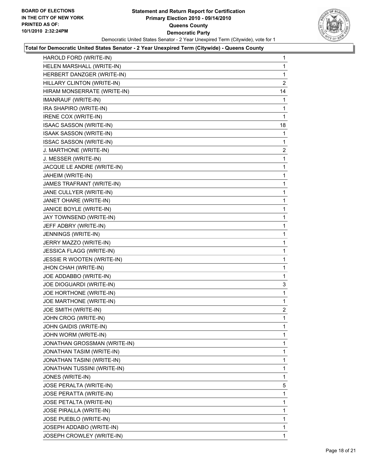

| HAROLD FORD (WRITE-IN)          | 1              |
|---------------------------------|----------------|
| HELEN MARSHALL (WRITE-IN)       | 1              |
| HERBERT DANZGER (WRITE-IN)      | 1              |
| HILLARY CLINTON (WRITE-IN)      | $\overline{2}$ |
| HIRAM MONSERRATE (WRITE-IN)     | 14             |
| IMANRAUF (WRITE-IN)             | 1              |
| IRA SHAPIRO (WRITE-IN)          | 1              |
| IRENE COX (WRITE-IN)            | 1              |
| ISAAC SASSON (WRITE-IN)         | 18             |
| ISAAK SASSON (WRITE-IN)         | 1              |
| ISSAC SASSON (WRITE-IN)         | 1              |
| J. MARTHONE (WRITE-IN)          | $\overline{a}$ |
| J. MESSER (WRITE-IN)            | 1              |
| JACQUE LE ANDRE (WRITE-IN)      | 1              |
| JAHEIM (WRITE-IN)               | 1              |
| JAMES TRAFRANT (WRITE-IN)       | 1              |
| JANE CULLYER (WRITE-IN)         | 1              |
| JANET OHARE (WRITE-IN)          | 1              |
| JANICE BOYLE (WRITE-IN)         | 1              |
| JAY TOWNSEND (WRITE-IN)         | 1              |
| JEFF ADBRY (WRITE-IN)           | 1              |
| JENNINGS (WRITE-IN)             | 1              |
| JERRY MAZZO (WRITE-IN)          | 1              |
| <b>JESSICA FLAGG (WRITE-IN)</b> | 1              |
| JESSIE R WOOTEN (WRITE-IN)      | 1              |
| JHON CHAH (WRITE-IN)            | 1              |
| JOE ADDABBO (WRITE-IN)          | 1              |
| JOE DIOGUARDI (WRITE-IN)        | 3              |
| JOE HORTHONE (WRITE-IN)         | 1              |
| JOE MARTHONE (WRITE-IN)         | 1              |
| JOE SMITH (WRITE-IN)            | 2              |
| JOHN CROG (WRITE-IN)            | 1              |
| JOHN GAIDIS (WRITE-IN)          | 1              |
| JOHN WORM (WRITE-IN)            | 1              |
| JONATHAN GROSSMAN (WRITE-IN)    | 1              |
| JONATHAN TASIM (WRITE-IN)       | 1              |
| JONATHAN TASINI (WRITE-IN)      | 1              |
| JONATHAN TUSSINI (WRITE-IN)     | 1              |
| JONES (WRITE-IN)                | 1              |
| JOSE PERALTA (WRITE-IN)         | 5              |
| JOSE PERATTA (WRITE-IN)         | 1              |
| JOSE PETALTA (WRITE-IN)         | 1              |
| JOSE PIRALLA (WRITE-IN)         | 1              |
| JOSE PUEBLO (WRITE-IN)          | 1              |
| JOSEPH ADDABO (WRITE-IN)        | 1              |
| JOSEPH CROWLEY (WRITE-IN)       | 1              |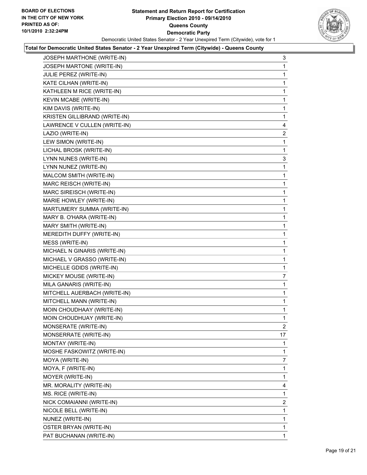

| JOSEPH MARTHONE (WRITE-IN)    | 3              |
|-------------------------------|----------------|
| JOSEPH MARTONE (WRITE-IN)     | 1              |
| JULIE PEREZ (WRITE-IN)        | 1              |
| KATE CILHAN (WRITE-IN)        | 1              |
| KATHLEEN M RICE (WRITE-IN)    | 1              |
| KEVIN MCABE (WRITE-IN)        | 1              |
| KIM DAVIS (WRITE-IN)          | 1              |
| KRISTEN GILLIBRAND (WRITE-IN) | 1              |
| LAWRENCE V CULLEN (WRITE-IN)  | 4              |
| LAZIO (WRITE-IN)              | 2              |
| LEW SIMON (WRITE-IN)          | 1              |
| LICHAL BROSK (WRITE-IN)       | 1              |
| LYNN NUNES (WRITE-IN)         | 3              |
| LYNN NUNEZ (WRITE-IN)         | 1              |
| MALCOM SMITH (WRITE-IN)       | 1              |
| MARC REISCH (WRITE-IN)        | 1              |
| MARC SIREISCH (WRITE-IN)      | 1              |
| MARIE HOWLEY (WRITE-IN)       | 1              |
| MARTUMERY SUMMA (WRITE-IN)    | 1              |
| MARY B. O'HARA (WRITE-IN)     | 1              |
| MARY SMITH (WRITE-IN)         | 1              |
| MEREDITH DUFFY (WRITE-IN)     | 1              |
| MESS (WRITE-IN)               | 1              |
| MICHAEL N GINARIS (WRITE-IN)  | 1              |
| MICHAEL V GRASSO (WRITE-IN)   | 1              |
| MICHELLE GDIDS (WRITE-IN)     | 1              |
| MICKEY MOUSE (WRITE-IN)       | 7              |
| MILA GANARIS (WRITE-IN)       | 1              |
| MITCHELL AUERBACH (WRITE-IN)  | 1              |
| MITCHELL MANN (WRITE-IN)      | 1              |
| MOIN CHOUDHAAY (WRITE-IN)     | 1              |
| MOIN CHOUDHUAY (WRITE-IN)     | 1              |
| MONSERATE (WRITE-IN)          | $\mathbf{2}$   |
| MONSERRATE (WRITE-IN)         | 17             |
| MONTAY (WRITE-IN)             | 1              |
| MOSHE FASKOWITZ (WRITE-IN)    | 1              |
| MOYA (WRITE-IN)               | 7              |
| MOYA, F (WRITE-IN)            | 1              |
| MOYER (WRITE-IN)              | 1              |
| MR. MORALITY (WRITE-IN)       | 4              |
| MS. RICE (WRITE-IN)           | 1              |
| NICK COMAIANNI (WRITE-IN)     | $\overline{2}$ |
| NICOLE BELL (WRITE-IN)        | 1              |
| NUNEZ (WRITE-IN)              | 1              |
| OSTER BRYAN (WRITE-IN)        | 1              |
| PAT BUCHANAN (WRITE-IN)       | 1              |
|                               |                |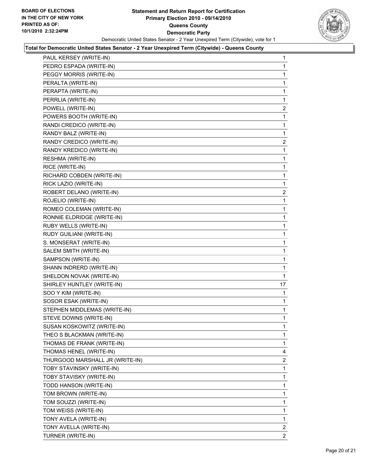

| PAUL KERSEY (WRITE-IN)          | 1              |
|---------------------------------|----------------|
| PEDRO ESPADA (WRITE-IN)         | 1              |
| PEGGY MORRIS (WRITE-IN)         | 1              |
| PERALTA (WRITE-IN)              | 1              |
| PERAPTA (WRITE-IN)              | 1              |
| PERRLIA (WRITE-IN)              | 1              |
| POWELL (WRITE-IN)               | $\mathbf{2}$   |
| POWERS BOOTH (WRITE-IN)         | 1              |
| RANDI CREDICO (WRITE-IN)        | 1              |
| RANDY BALZ (WRITE-IN)           | 1              |
| RANDY CREDICO (WRITE-IN)        | $\overline{2}$ |
| RANDY KREDICO (WRITE-IN)        | 1              |
| RESHMA (WRITE-IN)               | 1              |
| RICE (WRITE-IN)                 | 1              |
| RICHARD COBDEN (WRITE-IN)       | 1              |
| RICK LAZIO (WRITE-IN)           | 1              |
| ROBERT DELANO (WRITE-IN)        | $\overline{2}$ |
| ROJELIO (WRITE-IN)              | 1              |
| ROMEO COLEMAN (WRITE-IN)        | 1              |
| RONNIE ELDRIDGE (WRITE-IN)      | 1              |
| RUBY WELLS (WRITE-IN)           | 1              |
| RUDY GUILIANI (WRITE-IN)        | 1              |
| S. MONSERAT (WRITE-IN)          | 1              |
| SALEM SMITH (WRITE-IN)          | 1              |
| SAMPSON (WRITE-IN)              | 1              |
| SHANN INDRERD (WRITE-IN)        | 1              |
| SHELDON NOVAK (WRITE-IN)        | 1              |
| SHIRLEY HUNTLEY (WRITE-IN)      | 17             |
| SOO Y KIM (WRITE-IN)            | 1              |
| SOSOR ESAK (WRITE-IN)           | 1              |
| STEPHEN MIDDLEMAS (WRITE-IN)    | 1              |
| STEVE DOWNS (WRITE-IN)          | 1              |
| SUSAN KOSKOWITZ (WRITE-IN)      | 1              |
| THEO S BLACKMAN (WRITE-IN)      | 1              |
| THOMAS DE FRANK (WRITE-IN)      | 1              |
| THOMAS HENEL (WRITE-IN)         | 4              |
| THURGOOD MARSHALL JR (WRITE-IN) | 2              |
| TOBY STAVINSKY (WRITE-IN)       | 1              |
| TOBY STAVISKY (WRITE-IN)        | 1              |
| TODD HANSON (WRITE-IN)          | 1              |
| TOM BROWN (WRITE-IN)            | 1              |
| TOM SOUZZI (WRITE-IN)           | 1              |
| TOM WEISS (WRITE-IN)            | 1              |
| TONY AVELA (WRITE-IN)           | 1              |
| TONY AVELLA (WRITE-IN)          | $\overline{2}$ |
| TURNER (WRITE-IN)               | 2              |